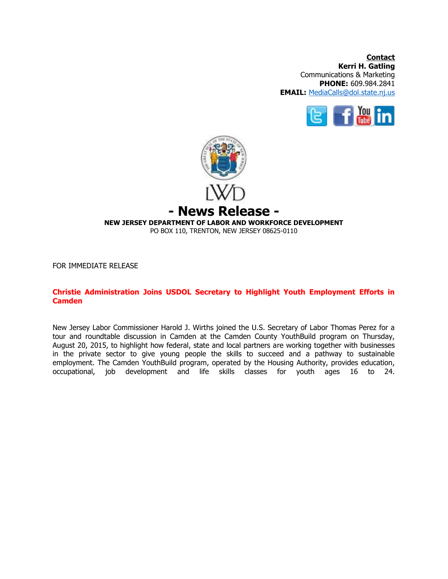**Contact Kerri H. Gatling** Communications & Marketing **PHONE:** 609.984.2841 **EMAIL:** [MediaCalls@dol.state.nj.us](mailto:MediaCalls@dol.state.nj.us)





FOR IMMEDIATE RELEASE

## **Christie Administration Joins USDOL Secretary to Highlight Youth Employment Efforts in Camden**

New Jersey Labor Commissioner Harold J. Wirths joined the U.S. Secretary of Labor Thomas Perez for a tour and roundtable discussion in Camden at the Camden County YouthBuild program on Thursday, August 20, 2015, to highlight how federal, state and local partners are working together with businesses in the private sector to give young people the skills to succeed and a pathway to sustainable employment. The Camden YouthBuild program, operated by the Housing Authority, provides education, occupational, job development and life skills classes for youth ages 16 to 24.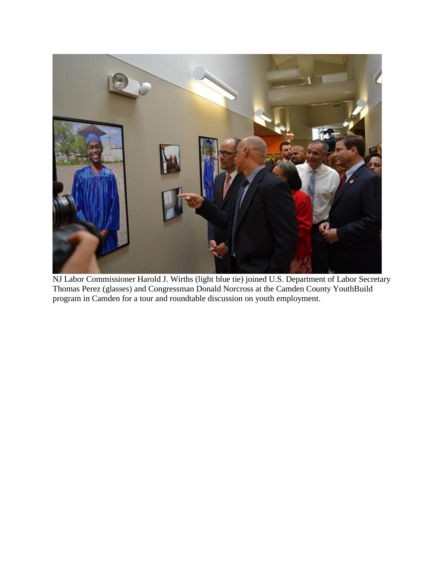

NJ Labor Commissioner Harold J. Wirths (light blue tie) joined U.S. Department of Labor Secretary Thomas Perez (glasses) and Congressman Donald Norcross at the Camden County YouthBuild program in Camden for a tour and roundtable discussion on youth employment.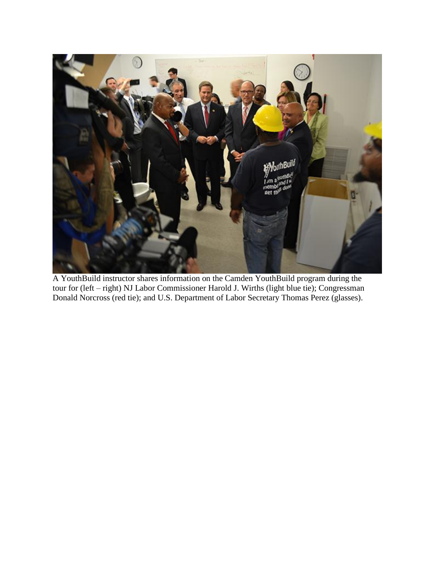

A YouthBuild instructor shares information on the Camden YouthBuild program during the tour for (left – right) NJ Labor Commissioner Harold J. Wirths (light blue tie); Congressman Donald Norcross (red tie); and U.S. Department of Labor Secretary Thomas Perez (glasses).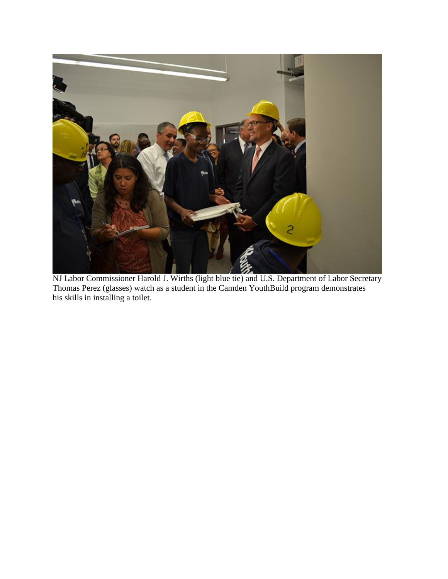

NJ Labor Commissioner Harold J. Wirths (light blue tie) and U.S. Department of Labor Secretary Thomas Perez (glasses) watch as a student in the Camden YouthBuild program demonstrates his skills in installing a toilet.